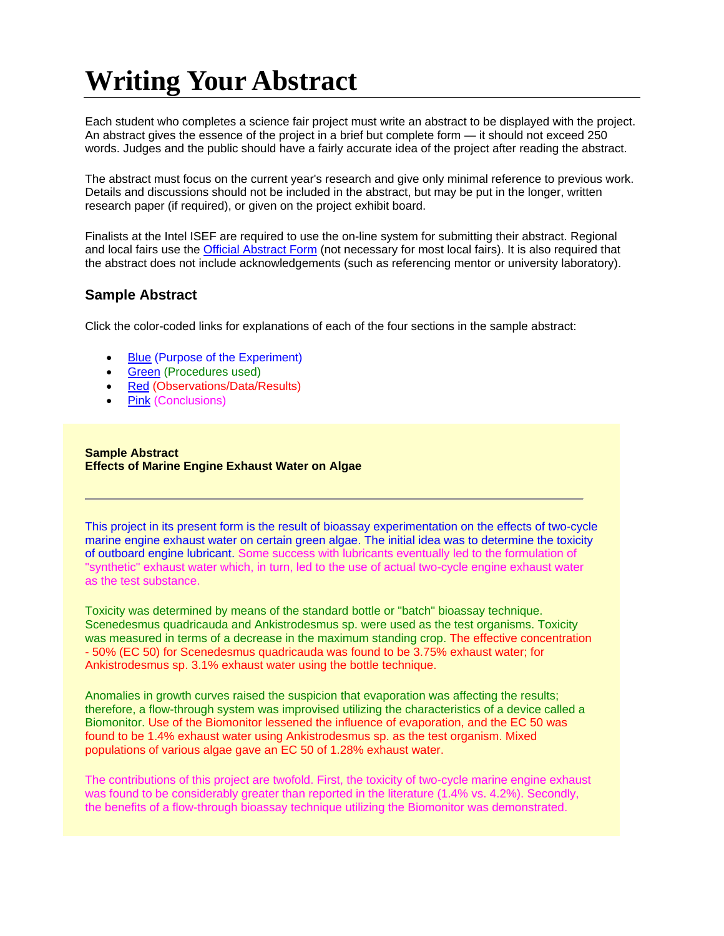# **Writing Your Abstract**

Each student who completes a science fair project must write an abstract to be displayed with the project. An abstract gives the essence of the project in a brief but complete form — it should not exceed 250 words. Judges and the public should have a fairly accurate idea of the project after reading the abstract.

The abstract must focus on the current year's research and give only minimal reference to previous work. Details and discussions should not be included in the abstract, but may be put in the longer, written research paper (if required), or given on the project exhibit board.

Finalists at the Intel ISEF are required to use the on-line system for submitting their abstract. Regional and local fairs use the Official Abstract Form (not necessary for most local fairs). It is also required that the abstract does not include acknowledgements (such as referencing mentor or university laboratory).

#### **Sample Abstract**

Click the color-coded links for explanations of each of the four sections in the sample abstract:

- Blue (Purpose of the Experiment)
- Green (Procedures used)
- Red (Observations/Data/Results)
- Pink (Conclusions)

#### **Sample Abstract Effects of Marine Engine Exhaust Water on Algae**

This project in its present form is the result of bioassay experimentation on the effects of two-cycle marine engine exhaust water on certain green algae. The initial idea was to determine the toxicity of outboard engine lubricant. Some success with lubricants eventually led to the formulation of "synthetic" exhaust water which, in turn, led to the use of actual two-cycle engine exhaust water as the test substance.

Toxicity was determined by means of the standard bottle or "batch" bioassay technique. Scenedesmus quadricauda and Ankistrodesmus sp. were used as the test organisms. Toxicity was measured in terms of a decrease in the maximum standing crop. The effective concentration - 50% (EC 50) for Scenedesmus quadricauda was found to be 3.75% exhaust water; for Ankistrodesmus sp. 3.1% exhaust water using the bottle technique.

Anomalies in growth curves raised the suspicion that evaporation was affecting the results; therefore, a flow-through system was improvised utilizing the characteristics of a device called a Biomonitor. Use of the Biomonitor lessened the influence of evaporation, and the EC 50 was found to be 1.4% exhaust water using Ankistrodesmus sp. as the test organism. Mixed populations of various algae gave an EC 50 of 1.28% exhaust water.

The contributions of this project are twofold. First, the toxicity of two-cycle marine engine exhaust was found to be considerably greater than reported in the literature (1.4% vs. 4.2%). Secondly, the benefits of a flow-through bioassay technique utilizing the Biomonitor was demonstrated.